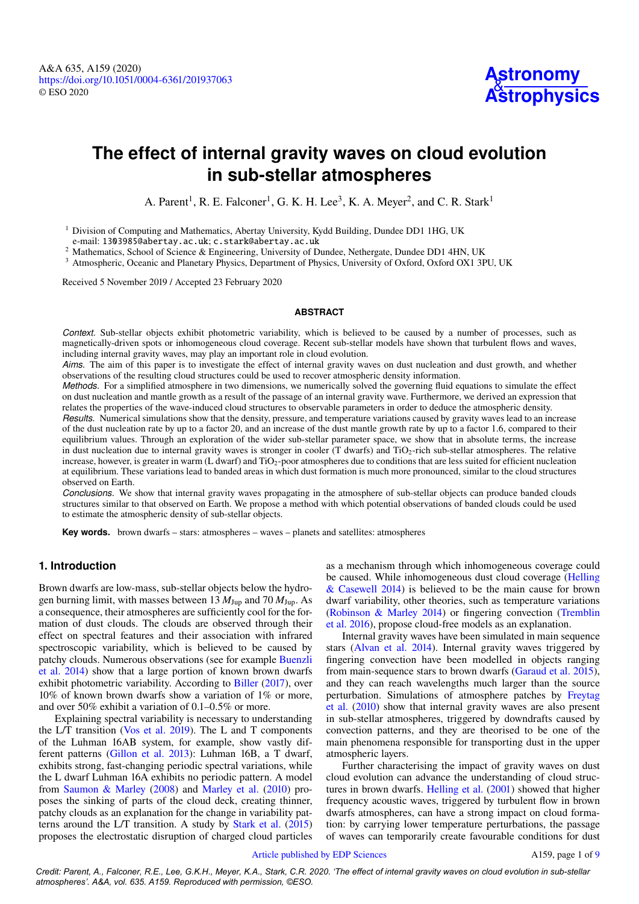# **The effect of internal gravity waves on cloud evolution in sub-stellar atmospheres**

A. Parent<sup>1</sup>, R. E. Falconer<sup>1</sup>, G. K. H. Lee<sup>3</sup>, K. A. Meyer<sup>2</sup>, and C. R. Stark<sup>1</sup>

<span id="page-0-0"></span><sup>1</sup> Division of Computing and Mathematics, Abertay University, Kydd Building, Dundee DD1 1HG, UK e-mail: [1303985@abertay.ac.uk](mailto:1303985@abertay.ac.uk); [c.stark@abertay.ac.uk](mailto:c.stark@abertay.ac.uk)

<span id="page-0-2"></span>

<sup>2</sup> Mathematics, School of Science & Engineering, University of Dundee, Nethergate, Dundee DD1 4HN, UK

<span id="page-0-1"></span><sup>3</sup> Atmospheric, Oceanic and Planetary Physics, Department of Physics, University of Oxford, Oxford OX1 3PU, UK

Received 5 November 2019 / Accepted 23 February 2020

## **ABSTRACT**

*Context.* Sub-stellar objects exhibit photometric variability, which is believed to be caused by a number of processes, such as magnetically-driven spots or inhomogeneous cloud coverage. Recent sub-stellar models have shown that turbulent flows and waves, including internal gravity waves, may play an important role in cloud evolution.

*Aims*. The aim of this paper is to investigate the effect of internal gravity waves on dust nucleation and dust growth, and whether observations of the resulting cloud structures could be used to recover atmospheric density information.

*Methods.* For a simplified atmosphere in two dimensions, we numerically solved the governing fluid equations to simulate the effect on dust nucleation and mantle growth as a result of the passage of an internal gravity wave. Furthermore, we derived an expression that relates the properties of the wave-induced cloud structures to observable parameters in order to deduce the atmospheric density.

*Results.* Numerical simulations show that the density, pressure, and temperature variations caused by gravity waves lead to an increase of the dust nucleation rate by up to a factor 20, and an increase of the dust mantle growth rate by up to a factor 1.6, compared to their equilibrium values. Through an exploration of the wider sub-stellar parameter space, we show that in absolute terms, the increase in dust nucleation due to internal gravity waves is stronger in cooler (T dwarfs) and TiO2-rich sub-stellar atmospheres. The relative increase, however, is greater in warm (L dwarf) and TiO<sub>2</sub>-poor atmospheres due to conditions that are less suited for efficient nucleation at equilibrium. These variations lead to banded areas in which dust formation is much more pronounced, similar to the cloud structures observed on Earth.

*Conclusions.* We show that internal gravity waves propagating in the atmosphere of sub-stellar objects can produce banded clouds structures similar to that observed on Earth. We propose a method with which potential observations of banded clouds could be used to estimate the atmospheric density of sub-stellar objects.

**Key words.** brown dwarfs – stars: atmospheres – waves – planets and satellites: atmospheres

## **1. Introduction**

Brown dwarfs are low-mass, sub-stellar objects below the hydrogen burning limit, with masses between  $13 M_{Jup}$  and  $70 M_{Jup}$ . As a consequence, their atmospheres are sufficiently cool for the formation of dust clouds. The clouds are observed through their effect on spectral features and their association with infrared spectroscopic variability, which is believed to be caused by patchy clouds. Numerous observations (see for example [Buenzli](#page-8-0) et [al.](#page-8-0) [2014\)](#page-8-0) show that a large portion of known brown dwarfs exhibit photometric variability. According to [Biller](#page-8-1) [\(2017\)](#page-8-1), over 10% of known brown dwarfs show a variation of 1% or more, and over 50% exhibit a variation of 0.1–0.5% or more.

Explaining spectral variability is necessary to understanding the L/T transition [\(Vos](#page-8-2) et al. [2019\)](#page-8-2). The L and T components of the Luhman 16AB system, for example, show vastly different patterns [\(Gillon](#page-8-3) et al. [2013\)](#page-8-3): Luhman 16B, a T dwarf, exhibits strong, fast-changing periodic spectral variations, while the L dwarf Luhman 16A exhibits no periodic pattern. A model from [Saumon](#page-8-4) & Marley [\(2008\)](#page-8-4) and [Marley](#page-8-5) et al. [\(2010\)](#page-8-5) proposes the sinking of parts of the cloud deck, creating thinner, patchy clouds as an explanation for the change in variability patterns around the L/T transition. A study by [Stark](#page-8-6) et al. [\(2015\)](#page-8-6) proposes the electrostatic disruption of charged cloud particles

as a mechanism through which inhomogeneous coverage could be caused. While inhomogeneous dust cloud coverage [\(Helling](#page-8-7) & [Casewell](#page-8-7) [2014\)](#page-8-7) is believed to be the main cause for brown dwarf variability, other theories, such as temperature variations [\(Robinson](#page-8-8) & Marley [2014\)](#page-8-8) or fingering convection [\(Tremblin](#page-8-9) et [al.](#page-8-9) [2016\)](#page-8-9), propose cloud-free models as an explanation.

Internal gravity waves have been simulated in main sequence stars [\(Alvan](#page-8-10) et al. [2014\)](#page-8-10). Internal gravity waves triggered by fingering convection have been modelled in objects ranging from main-sequence stars to brown dwarfs [\(Garaud](#page-8-11) et al. [2015\)](#page-8-11), and they can reach wavelengths much larger than the source perturbation. Simulations of atmosphere patches by [Freytag](#page-8-12) et [al.](#page-8-12) [\(2010\)](#page-8-12) show that internal gravity waves are also present in sub-stellar atmospheres, triggered by downdrafts caused by convection patterns, and they are theorised to be one of the main phenomena responsible for transporting dust in the upper atmospheric layers.

Further characterising the impact of gravity waves on dust cloud evolution can advance the understanding of cloud structures in brown dwarfs. [Helling](#page-8-13) et al. [\(2001\)](#page-8-13) showed that higher frequency acoustic waves, triggered by turbulent flow in brown dwarfs atmospheres, can have a strong impact on cloud formation: by carrying lower temperature perturbations, the passage of waves can temporarily create favourable conditions for dust

### Article [published](http://www.edpsciences.org) by EDP Sciences A15[9](#page-8-14), page 1 of 9

*Credit: Parent, A., Falconer, R.E., Lee, G.K.H., Meyer, K.A., Stark, C.R. 2020. 'The effect of internal gravity waves on cloud evolution in sub-stellar atmospheres'. A&A, vol. 635. A159. Reproduced with permission, ©ESO.*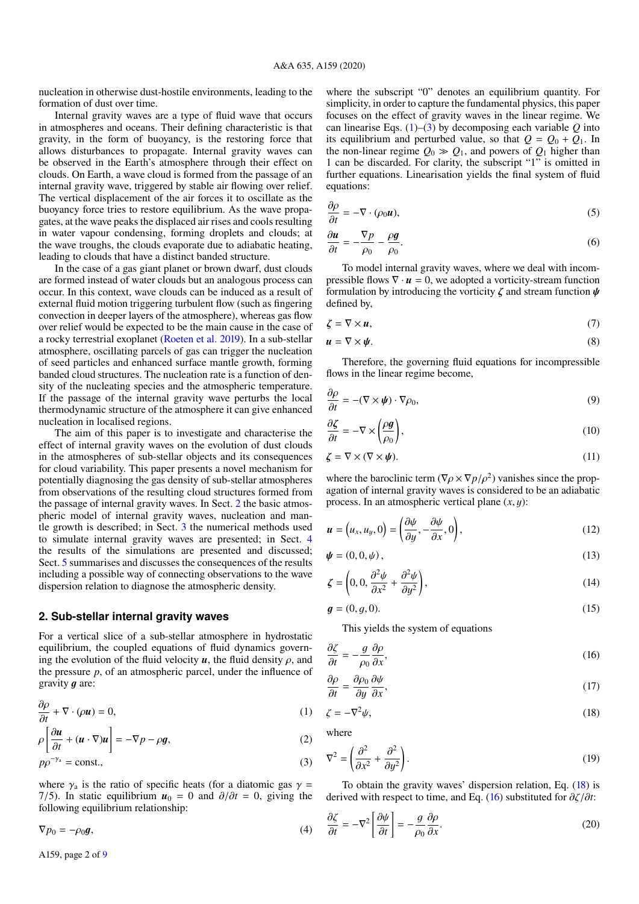nucleation in otherwise dust-hostile environments, leading to the formation of dust over time.

Internal gravity waves are a type of fluid wave that occurs in atmospheres and oceans. Their defining characteristic is that gravity, in the form of buoyancy, is the restoring force that allows disturbances to propagate. Internal gravity waves can be observed in the Earth's atmosphere through their effect on clouds. On Earth, a wave cloud is formed from the passage of an internal gravity wave, triggered by stable air flowing over relief. The vertical displacement of the air forces it to oscillate as the buoyancy force tries to restore equilibrium. As the wave propagates, at the wave peaks the displaced air rises and cools resulting in water vapour condensing, forming droplets and clouds; at the wave troughs, the clouds evaporate due to adiabatic heating, leading to clouds that have a distinct banded structure.

In the case of a gas giant planet or brown dwarf, dust clouds are formed instead of water clouds but an analogous process can occur. In this context, wave clouds can be induced as a result of external fluid motion triggering turbulent flow (such as fingering convection in deeper layers of the atmosphere), whereas gas flow over relief would be expected to be the main cause in the case of a rocky terrestrial exoplanet [\(Roeten et al.](#page-8-15) [2019\)](#page-8-15). In a sub-stellar atmosphere, oscillating parcels of gas can trigger the nucleation of seed particles and enhanced surface mantle growth, forming banded cloud structures. The nucleation rate is a function of density of the nucleating species and the atmospheric temperature. If the passage of the internal gravity wave perturbs the local thermodynamic structure of the atmosphere it can give enhanced nucleation in localised regions.

The aim of this paper is to investigate and characterise the effect of internal gravity waves on the evolution of dust clouds in the atmospheres of sub-stellar objects and its consequences for cloud variability. This paper presents a novel mechanism for potentially diagnosing the gas density of sub-stellar atmospheres from observations of the resulting cloud structures formed from the passage of internal gravity waves. In Sect. [2](#page-1-0) the basic atmospheric model of internal gravity waves, nucleation and mantle growth is described; in Sect. [3](#page-3-0) the numerical methods used to simulate internal gravity waves are presented; in Sect. [4](#page-3-1) the results of the simulations are presented and discussed; Sect. [5](#page-7-0) summarises and discusses the consequences of the results including a possible way of connecting observations to the wave dispersion relation to diagnose the atmospheric density.

### <span id="page-1-0"></span>**2. Sub-stellar internal gravity waves**

For a vertical slice of a sub-stellar atmosphere in hydrostatic equilibrium, the coupled equations of fluid dynamics governing the evolution of the fluid velocity  $u$ , the fluid density  $\rho$ , and the pressure *p*, of an atmospheric parcel, under the influence of gravity  $g$  are:

$$
\frac{\partial \rho}{\partial t} + \nabla \cdot (\rho \mathbf{u}) = 0,\tag{1}
$$

$$
\rho \left[ \frac{\partial u}{\partial t} + (u \cdot \nabla) u \right] = -\nabla p - \rho g, \tag{2}
$$

$$
pp^{-\gamma_a} = \text{const.},\tag{3}
$$

where  $\gamma_a$  is the ratio of specific heats (for a diatomic gas  $\gamma =$ 7/5). In static equilibrium  $u_0 = 0$  and  $\partial/\partial t = 0$ , giving the following equilibrium relationship:

$$
\nabla p_0 = -\rho_0 \mathbf{g},\tag{4}
$$

A159, page 2 of [9](#page-8-14)

where the subscript "0" denotes an equilibrium quantity. For simplicity, in order to capture the fundamental physics, this paper focuses on the effect of gravity waves in the linear regime. We can linearise Eqs.  $(1)$ – $(3)$  by decomposing each variable *Q* into its equilibrium and perturbed value, so that  $Q = Q_0 + Q_1$ . In the non-linear regime  $Q_0 \gg Q_1$ , and powers of  $Q_1$  higher than 1 can be discarded. For clarity, the subscript "1" is omitted in further equations. Linearisation yields the final system of fluid equations:

$$
\frac{\partial \rho}{\partial t} = -\nabla \cdot (\rho_0 \mathbf{u}),\tag{5}
$$

$$
\frac{\partial u}{\partial t} = -\frac{\nabla p}{\rho_0} - \frac{\rho g}{\rho_0}.\tag{6}
$$

To model internal gravity waves, where we deal with incompressible flows  $\nabla \cdot \mathbf{u} = 0$ , we adopted a vorticity-stream function formulation by introducing the vorticity  $\zeta$  and stream function  $\psi$ defined by,

$$
\zeta = \nabla \times \boldsymbol{u},\tag{7}
$$

$$
u = \nabla \times \psi. \tag{8}
$$

Therefore, the governing fluid equations for incompressible flows in the linear regime become,

$$
\frac{\partial \rho}{\partial t} = -(\nabla \times \boldsymbol{\psi}) \cdot \nabla \rho_0,\tag{9}
$$

$$
\frac{\partial \zeta}{\partial t} = -\nabla \times \left(\frac{\rho \mathbf{g}}{\rho_0}\right),\tag{10}
$$

$$
\zeta = \nabla \times (\nabla \times \psi). \tag{11}
$$

where the baroclinic term ( $\nabla \rho \times \nabla p / \rho^2$ ) vanishes since the propagation of internal gravity waves is considered to be an adiabatic process. In an atmospheric vertical plane (*x*, y):

$$
\boldsymbol{u} = (u_x, u_y, 0) = \left(\frac{\partial \psi}{\partial y}, -\frac{\partial \psi}{\partial x}, 0\right),\tag{12}
$$

$$
\mathbf{\psi} = (0, 0, \psi), \tag{13}
$$

$$
\zeta = \left(0, 0, \frac{\partial^2 \psi}{\partial x^2} + \frac{\partial^2 \psi}{\partial y^2}\right),\tag{14}
$$

$$
\mathbf{g} = (0, g, 0). \tag{15}
$$

<span id="page-1-6"></span><span id="page-1-4"></span><span id="page-1-3"></span>This yields the system of equations

$$
\frac{\partial \zeta}{\partial t} = -\frac{g}{\rho_0} \frac{\partial \rho}{\partial x},\tag{16}
$$

$$
\frac{\partial \rho}{\partial t} = \frac{\partial \rho_0}{\partial y} \frac{\partial \psi}{\partial x},\tag{17}
$$

<span id="page-1-1"></span>
$$
\zeta = -\nabla^2 \psi,\tag{18}
$$

where

<span id="page-1-2"></span>
$$
\nabla^2 = \left(\frac{\partial^2}{\partial x^2} + \frac{\partial^2}{\partial y^2}\right). \tag{19}
$$

<span id="page-1-5"></span>To obtain the gravity waves' dispersion relation, Eq. [\(18\)](#page-1-3) is derived with respect to time, and Eq. [\(16\)](#page-1-4) substituted for ∂ζ/∂*t*:

$$
\frac{\partial \zeta}{\partial t} = -\nabla^2 \left[ \frac{\partial \psi}{\partial t} \right] = -\frac{g}{\rho_0} \frac{\partial \rho}{\partial x}.
$$
\n(20)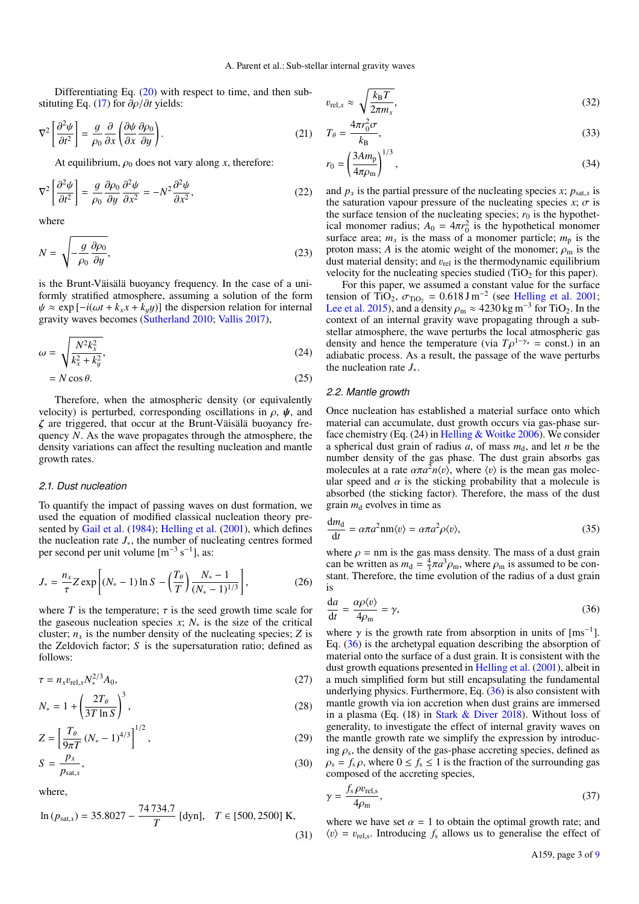*r* 

Differentiating Eq.  $(20)$  with respect to time, and then substituting Eq. [\(17\)](#page-1-6) for ∂ρ/∂*t* yields:

$$
\nabla^2 \left[ \frac{\partial^2 \psi}{\partial t^2} \right] = \frac{g}{\rho_0} \frac{\partial}{\partial x} \left( \frac{\partial \psi}{\partial x} \frac{\partial \rho_0}{\partial y} \right). \tag{21}
$$

At equilibrium,  $\rho_0$  does not vary along *x*, therefore:

$$
\nabla^2 \left[ \frac{\partial^2 \psi}{\partial t^2} \right] = \frac{g}{\rho_0} \frac{\partial \rho_0}{\partial y} \frac{\partial^2 \psi}{\partial x^2} = -N^2 \frac{\partial^2 \psi}{\partial x^2},\tag{22}
$$

where

$$
N = \sqrt{-\frac{g}{\rho_0} \frac{\partial \rho_0}{\partial y}},\tag{23}
$$

is the Brunt-Väisälä buoyancy frequency. In the case of a uniformly stratified atmosphere, assuming a solution of the form  $\psi \approx \exp[-i(\omega t + k_x x + k_y y)]$  the dispersion relation for internal gravity waves becomes [\(Sutherland](#page-8-16) [2010;](#page-8-16) [Vallis](#page-8-17) [2017\)](#page-8-17),

$$
\omega = \sqrt{\frac{N^2 k_x^2}{k_x^2 + k_y^2}},\tag{24}
$$

$$
= N\cos\theta.\tag{25}
$$

Therefore, when the atmospheric density (or equivalently velocity) is perturbed, corresponding oscillations in  $\rho$ ,  $\psi$ , and ζ are triggered, that occur at the Brunt-Väisälä buoyancy frequency *N*. As the wave propagates through the atmosphere, the density variations can affect the resulting nucleation and mantle growth rates.

#### *2.1. Dust nucleation*

To quantify the impact of passing waves on dust formation, we used the equation of modified classical nucleation theory pre-sented by [Gail et al.](#page-8-18) [\(1984\)](#page-8-18); [Helling et al.](#page-8-13) [\(2001\)](#page-8-13), which defines the nucleation rate *J*∗, the number of nucleating centres formed per second per unit volume  $[m^{-3} s^{-1}]$ , as:

$$
J_* = \frac{n_x}{\tau} Z \exp\left[ (N_* - 1) \ln S - \left( \frac{T_\theta}{T} \right) \frac{N_* - 1}{(N_* - 1)^{1/3}} \right],\tag{26}
$$

where *T* is the temperature;  $\tau$  is the seed growth time scale for the gaseous nucleation species *x*; *N*<sup>∗</sup> is the size of the critical cluster;  $n_x$  is the number density of the nucleating species; *Z* is the Zeldovich factor; *S* is the supersaturation ratio; defined as follows:

$$
\tau = n_x v_{\text{rel},x} N_*^{2/3} A_0,\tag{27}
$$

$$
N_* = 1 + \left(\frac{2T_{\theta}}{3T \ln S}\right)^3,\tag{28}
$$

$$
Z = \left[\frac{T_{\theta}}{9\pi T} (N_{*} - 1)^{4/3}\right]^{1/2},
$$
\n
$$
S = \frac{p_{x}}{2}
$$
\n(29)

$$
S = \frac{P\lambda}{P_{\text{sat},x}},\tag{30}
$$

where,

$$
\ln (p_{\text{sat,x}}) = 35.8027 - \frac{74734.7}{T} \text{ [dyn]}, \quad T \in [500, 2500] \text{ K},\tag{31}
$$

$$
v_{\text{rel},x} \approx \sqrt{\frac{k_{\text{B}}T}{2\pi m_x}},\tag{32}
$$

$$
T_{\theta} = \frac{4\pi r_0^2 \sigma}{k_B},\tag{33}
$$

$$
a_0 = \left(\frac{3Am_p}{4\pi\rho_m}\right)^{1/3},\tag{34}
$$

and  $p_x$  is the partial pressure of the nucleating species *x*;  $p_{\text{sat},x}$  is the saturation vapour pressure of the nucleating species  $x$ ;  $\sigma$  is the surface tension of the nucleating species;  $r_0$  is the hypothetical monomer radius;  $A_0 = 4\pi r_0^2$  is the hypothetical monomer surface area;  $m_x$  is the mass of a monomer particle;  $m_p$  is the proton mass; *A* is the atomic weight of the monomer;  $\rho_m$  is the dust material density; and  $v_{rel}$  is the thermodynamic equilibrium velocity for the nucleating species studied  $(TiO<sub>2</sub>$  for this paper).

<span id="page-2-3"></span>For this paper, we assumed a constant value for the surface tension of TiO<sub>2</sub>,  $\sigma_{\text{TiO}_2} = 0.618 \,\text{J m}^{-2}$  (see [Helling et al.](#page-8-13) [2001;](#page-8-13) [Lee et al.](#page-8-19) [2015\)](#page-8-19), and a density  $\rho_m \approx 4230 \text{ kg m}^{-3}$  for TiO<sub>2</sub>. In the context of an internal gravity wave propagating through a substellar atmosphere, the wave perturbs the local atmospheric gas density and hence the temperature (via  $T\rho^{1-\gamma_a}$  = const.) in an adiabatic process. As a result, the passage of the wave perturbs the nucleation rate *J*∗.

#### *2.2. Mantle growth*

Once nucleation has established a material surface onto which material can accumulate, dust growth occurs via gas-phase surface chemistry (Eq. (24) in [Helling & Woitke](#page-8-20) [2006\)](#page-8-20). We consider a spherical dust grain of radius  $a$ , of mass  $m_d$ , and let  $n$  be the number density of the gas phase. The dust grain absorbs gas molecules at a rate  $\alpha \pi a^2 n \langle v \rangle$ , where  $\langle v \rangle$  is the mean gas molecular speed and  $\alpha$  is the sticking probability that a molecule is absorbed (the sticking factor). Therefore, the mass of the dust grain  $m_d$  evolves in time as

$$
\frac{dm_d}{dt} = \alpha \pi a^2 nm \langle v \rangle = \alpha \pi a^2 \rho \langle v \rangle,
$$
\n(35)

<span id="page-2-1"></span>where  $\rho =$  nm is the gas mass density. The mass of a dust grain can be written as  $m_d = \frac{4}{3}\pi a^3 \rho_m$ , where  $\rho_m$  is assumed to be constant. Therefore, the time evolution of the radius of a dust grain is

<span id="page-2-0"></span>
$$
\frac{da}{dt} = \frac{\alpha \rho \langle v \rangle}{4\rho_m} = \gamma,
$$
\n(36)

where  $\gamma$  is the growth rate from absorption in units of [ms<sup>-1</sup>]. Eq. [\(36\)](#page-2-0) is the archetypal equation describing the absorption of material onto the surface of a dust grain. It is consistent with the dust growth equations presented in [Helling et al.](#page-8-13) [\(2001\)](#page-8-13), albeit in a much simplified form but still encapsulating the fundamental underlying physics. Furthermore, Eq. [\(36\)](#page-2-0) is also consistent with mantle growth via ion accretion when dust grains are immersed in a plasma (Eq. (18) in [Stark & Diver](#page-8-21) [2018\)](#page-8-21). Without loss of generality, to investigate the effect of internal gravity waves on the mantle growth rate we simplify the expression by introducing  $\rho_s$ , the density of the gas-phase accreting species, defined as  $\rho_s = f_s \rho$ , where  $0 \le f_s \le 1$  is the fraction of the surrounding gas composed of the accreting species,

<span id="page-2-2"></span>
$$
\gamma = \frac{f_s \rho v_{\text{rel,s}}}{4\rho_{\text{m}}},\tag{37}
$$

where we have set  $\alpha = 1$  to obtain the optimal growth rate; and  $\langle v \rangle = v_{\text{rel,s}}$ . Introducing  $f_s$  allows us to generalise the effect of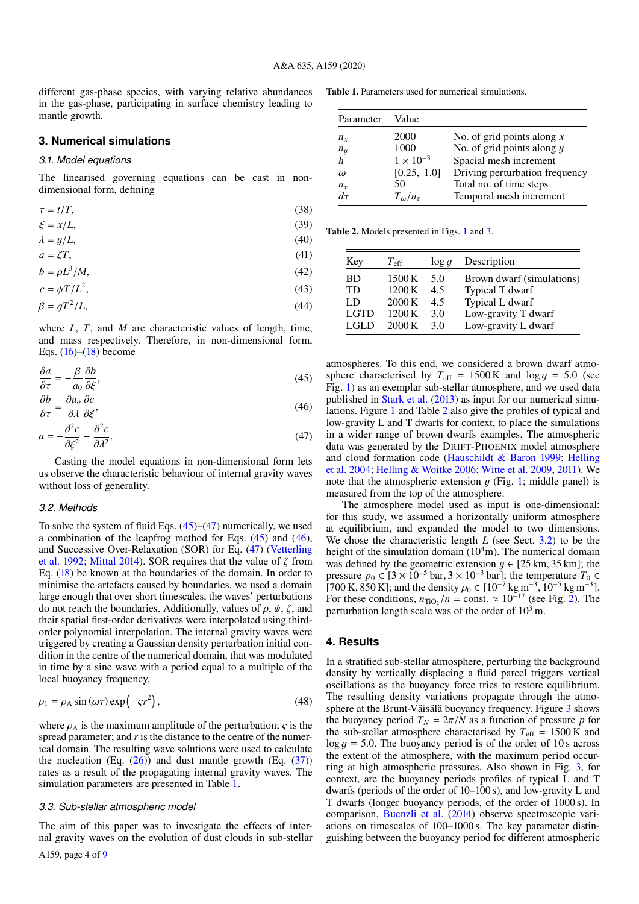different gas-phase species, with varying relative abundances in the gas-phase, participating in surface chemistry leading to mantle growth.

#### <span id="page-3-0"></span>**3. Numerical simulations**

## *3.1. Model equations*

The linearised governing equations can be cast in nondimensional form, defining

$$
\tau = t/T,\tag{38}
$$

$$
\xi = x/L,\tag{39}
$$

$$
\lambda = y/L,\tag{40}
$$

$$
a = \zeta T,\tag{41}
$$

$$
b = \rho L^3 / M,\tag{42}
$$

$$
c = \psi T / L^2,\tag{43}
$$

$$
\beta = gT^2/L,\tag{44}
$$

where *L*, *T*, and *M* are characteristic values of length, time, and mass respectively. Therefore, in non-dimensional form, Eqs.  $(16)$ – $(18)$  become

$$
\frac{\partial a}{\partial \tau} = -\frac{\beta}{a_0} \frac{\partial b}{\partial \xi},\tag{45}
$$

$$
\frac{\partial b}{\partial \tau} = \frac{\partial a_o}{\partial \lambda} \frac{\partial c}{\partial \xi},\tag{46}
$$

$$
a = -\frac{\partial^2 c}{\partial \xi^2} - \frac{\partial^2 c}{\partial \lambda^2}.
$$
\n(47)

Casting the model equations in non-dimensional form lets us observe the characteristic behaviour of internal gravity waves without loss of generality.

#### <span id="page-3-7"></span>*3.2. Methods*

To solve the system of fluid Eqs.  $(45)$ – $(47)$  numerically, we used a combination of the leapfrog method for Eqs. [\(45\)](#page-3-2) and [\(46\)](#page-3-4), and Successive Over-Relaxation (SOR) for Eq. [\(47\)](#page-3-3) [\(Vetterling](#page-8-22) [et al.](#page-8-22) [1992;](#page-8-22) [Mittal](#page-8-23) [2014\)](#page-8-23). SOR requires that the value of  $\zeta$  from Eq. [\(18\)](#page-1-3) be known at the boundaries of the domain. In order to minimise the artefacts caused by boundaries, we used a domain large enough that over short timescales, the waves' perturbations do not reach the boundaries. Additionally, values of  $\rho$ ,  $\psi$ ,  $\zeta$ , and their spatial first-order derivatives were interpolated using thirdorder polynomial interpolation. The internal gravity waves were triggered by creating a Gaussian density perturbation initial condition in the centre of the numerical domain, that was modulated in time by a sine wave with a period equal to a multiple of the local buoyancy frequency,

$$
\rho_1 = \rho_A \sin(\omega \tau) \exp(-\varsigma r^2),\tag{48}
$$

where  $\rho_A$  is the maximum amplitude of the perturbation;  $\zeta$  is the spread parameter; and *r* is the distance to the centre of the numerical domain. The resulting wave solutions were used to calculate the nucleation (Eq.  $(26)$ ) and dust mantle growth (Eq.  $(37)$ ) rates as a result of the propagating internal gravity waves. The simulation parameters are presented in Table [1.](#page-3-5)

#### *3.3. Sub-stellar atmospheric model*

The aim of this paper was to investigate the effects of internal gravity waves on the evolution of dust clouds in sub-stellar

Table 1. Parameters used for numerical simulations.

<span id="page-3-5"></span>

| Parameter  | Value                 |                                |
|------------|-----------------------|--------------------------------|
| $n_{r}$    | 2000                  | No. of grid points along $x$   |
| $n_y$      | 1000                  | No. of grid points along $y$   |
| h          | $1 \times 10^{-3}$    | Spacial mesh increment         |
| $\omega$   | [0.25, 1.0]           | Driving perturbation frequency |
| $n_{\tau}$ | 50                    | Total no. of time steps        |
| $d\tau$    | $T_{\omega}/n_{\tau}$ | Temporal mesh increment        |

Table 2. Models presented in Figs. [1](#page-4-0) and [3.](#page-4-1)

<span id="page-3-6"></span>

| Key         | $T_{\rm eff}$ | $\log q$ | Description               |
|-------------|---------------|----------|---------------------------|
| <b>BD</b>   | 1500 K        | 5.0      | Brown dwarf (simulations) |
| <b>TD</b>   | 1200 K        | 4.5      | Typical T dwarf           |
| LD          | 2000K         | 45       | Typical L dwarf           |
| <b>LGTD</b> | 1200 K        | 3 O      | Low-gravity T dwarf       |
| LGL D       | 2000K         | 3 Q      | Low-gravity L dwarf       |

<span id="page-3-4"></span><span id="page-3-3"></span><span id="page-3-2"></span>atmospheres. To this end, we considered a brown dwarf atmosphere characterised by  $T_{\text{eff}} = 1500 \text{ K}$  and  $\log q = 5.0$  (see Fig. [1\)](#page-4-0) as an exemplar sub-stellar atmosphere, and we used data published in [Stark et al.](#page-8-24) [\(2013\)](#page-8-24) as input for our numerical simulations. Figure [1](#page-4-0) and Table [2](#page-3-6) also give the profiles of typical and low-gravity L and T dwarfs for context, to place the simulations in a wider range of brown dwarfs examples. The atmospheric data was generated by the DRIFT-PHOENIX model atmosphere and cloud formation code [\(Hauschildt & Baron](#page-8-25) [1999;](#page-8-25) [Helling](#page-8-26) [et al.](#page-8-26) [2004;](#page-8-26) [Helling & Woitke](#page-8-20) [2006;](#page-8-20) [Witte et al.](#page-8-27) [2009,](#page-8-27) [2011\)](#page-8-28). We note that the atmospheric extension  $y$  (Fig. [1;](#page-4-0) middle panel) is measured from the top of the atmosphere.

The atmosphere model used as input is one-dimensional; for this study, we assumed a horizontally uniform atmosphere at equilibrium, and expanded the model to two dimensions. We chose the characteristic length *L* (see Sect. [3.2\)](#page-3-7) to be the height of the simulation domain  $(10<sup>4</sup>m)$ . The numerical domain was defined by the geometric extension  $y \in [25 \text{ km}, 35 \text{ km}]$ ; the pressure  $p_0 \text{ } \in [3 \times 10^{-5} \text{ bar}, 3 \times 10^{-3} \text{ bar}]$ ; the temperature  $T_0$  ∈ [700 K, 850 K]; and the density  $\rho_0 \in [10^{-7} \text{ kg m}^{-3}, 10^{-5} \text{ kg m}^{-3}]$ . For these conditions,  $n_{\text{TiO}_2}/n = \text{const.} \approx 10^{-17}$  (see Fig. [2\)](#page-4-2). The perturbation length scale was of the order of  $10<sup>3</sup>$  m.

# <span id="page-3-1"></span>**4. Results**

In a stratified sub-stellar atmosphere, perturbing the background density by vertically displacing a fluid parcel triggers vertical oscillations as the buoyancy force tries to restore equilibrium. The resulting density variations propagate through the atmosphere at the Brunt-Väisälä buoyancy frequency. Figure [3](#page-4-1) shows the buoyancy period  $T_N = 2\pi/N$  as a function of pressure *p* for the sub-stellar atmosphere characterised by  $T_{\text{eff}} = 1500 \text{ K}$  and  $\log g = 5.0$ . The buoyancy period is of the order of 10 s across the extent of the atmosphere, with the maximum period occurring at high atmospheric pressures. Also shown in Fig. [3,](#page-4-1) for context, are the buoyancy periods profiles of typical L and T dwarfs (periods of the order of 10–100 s), and low-gravity L and T dwarfs (longer buoyancy periods, of the order of 1000 s). In comparison, [Buenzli et al.](#page-8-0) [\(2014\)](#page-8-0) observe spectroscopic variations on timescales of 100–1000 s. The key parameter distinguishing between the buoyancy period for different atmospheric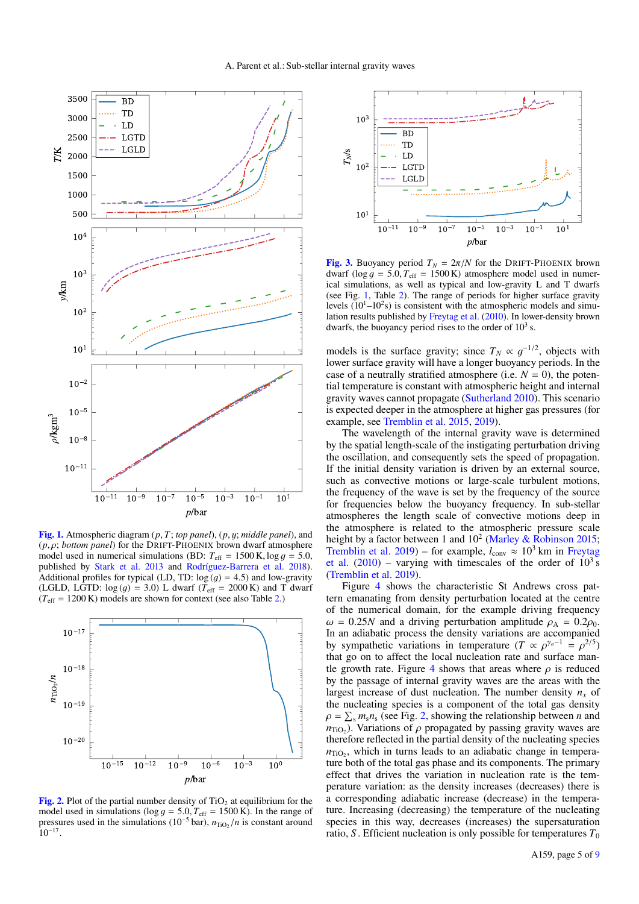

<span id="page-4-0"></span>[Fig. 1.](http://dexter.edpsciences.org/applet.php?DOI=10.1051/0004-6361/201937063&pdf_id=0) Atmospheric diagram (*p*, *T*; *top panel*), (*p*, y; *middle panel*), and (*p*, ρ; *bottom panel*) for the DRIFT-PHOENIX brown dwarf atmosphere model used in numerical simulations (BD:  $T_{\text{eff}} = 1500 \text{ K}$ , log  $q = 5.0$ , published by [Stark et al.](#page-8-24) [2013](#page-8-24) and [Rodríguez-Barrera et al.](#page-8-29) [2018\)](#page-8-29). Additional profiles for typical (LD, TD:  $log (g) = 4.5$ ) and low-gravity (LGLD, LGTD:  $log (q) = 3.0$ ) L dwarf ( $T_{\text{eff}} = 2000 \text{ K}$ ) and T dwarf  $(T_{\text{eff}} = 1200 \text{ K})$  models are shown for context (see also Table [2.](#page-3-6))



<span id="page-4-2"></span>[Fig. 2.](http://dexter.edpsciences.org/applet.php?DOI=10.1051/0004-6361/201937063&pdf_id=0) Plot of the partial number density of  $TiO<sub>2</sub>$  at equilibrium for the model used in simulations ( $\log g = 5.0$ ,  $T_{\text{eff}} = 1500 \text{ K}$ ). In the range of pressures used in the simulations ( $10^{-5}$  bar),  $n_{\text{TiO}_2}/n$  is constant around 10−<sup>17</sup> .



<span id="page-4-1"></span>[Fig. 3.](http://dexter.edpsciences.org/applet.php?DOI=10.1051/0004-6361/201937063&pdf_id=0) Buoyancy period  $T_N = 2\pi/N$  for the DRIFT-PHOENIX brown dwarf ( $\log g = 5.0$ ,  $T_{\text{eff}} = 1500 \text{ K}$ ) atmosphere model used in numerical simulations, as well as typical and low-gravity L and T dwarfs (see Fig. [1,](#page-4-0) Table [2\)](#page-3-6). The range of periods for higher surface gravity levels  $(10^{1} - 10^{2}s)$  is consistent with the atmospheric models and simulation results published by [Freytag et al.](#page-8-12) [\(2010\)](#page-8-12). In lower-density brown dwarfs, the buoyancy period rises to the order of  $10<sup>3</sup>$  s.

models is the surface gravity; since  $T_N \propto g^{-1/2}$ , objects with lower surface gravity will have a longer buoyancy periods. In the case of a neutrally stratified atmosphere (i.e.  $N = 0$ ), the potential temperature is constant with atmospheric height and internal gravity waves cannot propagate [\(Sutherland](#page-8-16) [2010\)](#page-8-16). This scenario is expected deeper in the atmosphere at higher gas pressures (for example, see [Tremblin et al.](#page-8-30) [2015,](#page-8-30) [2019\)](#page-8-31).

The wavelength of the internal gravity wave is determined by the spatial length-scale of the instigating perturbation driving the oscillation, and consequently sets the speed of propagation. If the initial density variation is driven by an external source, such as convective motions or large-scale turbulent motions, the frequency of the wave is set by the frequency of the source for frequencies below the buoyancy frequency. In sub-stellar atmospheres the length scale of convective motions deep in the atmosphere is related to the atmospheric pressure scale height by a factor between 1 and  $10^2$  [\(Marley & Robinson](#page-8-32) [2015;](#page-8-32) [Tremblin et al.](#page-8-31) [2019\)](#page-8-31) – for example,  $l_{\text{conv}} \approx 10^3$  km in [Freytag](#page-8-12) [et al.](#page-8-12)  $(2010)$  – varying with timescales of the order of  $10<sup>3</sup>$  s [\(Tremblin et al.](#page-8-31) [2019\)](#page-8-31).

Figure [4](#page-5-0) shows the characteristic St Andrews cross pattern emanating from density perturbation located at the centre of the numerical domain, for the example driving frequency  $\omega = 0.25N$  and a driving perturbation amplitude  $\rho_A = 0.2 \rho_0$ . In an adiabatic process the density variations are accompanied by sympathetic variations in temperature  $(T \propto \rho^{\gamma_a-1} = \rho^{2/5})$ that go on to affect the local nucleation rate and surface man-tle growth rate. Figure [4](#page-5-0) shows that areas where  $\rho$  is reduced by the passage of internal gravity waves are the areas with the largest increase of dust nucleation. The number density  $n<sub>x</sub>$  of the nucleating species is a component of the total gas density  $\rho = \sum_{s} m_{s} n_{s}$  (see Fig. [2,](#page-4-2) showing the relationship between *n* and  $n_{\text{TiO}_2}$ ). Variations of  $\rho$  propagated by passing gravity waves are therefore reflected in the partial density of the nucleating species  $n_{\text{TiO}_2}$ , which in turns leads to an adiabatic change in temperature both of the total gas phase and its components. The primary effect that drives the variation in nucleation rate is the temperature variation: as the density increases (decreases) there is a corresponding adiabatic increase (decrease) in the temperature. Increasing (decreasing) the temperature of the nucleating species in this way, decreases (increases) the supersaturation ratio, *S*. Efficient nucleation is only possible for temperatures  $T_0$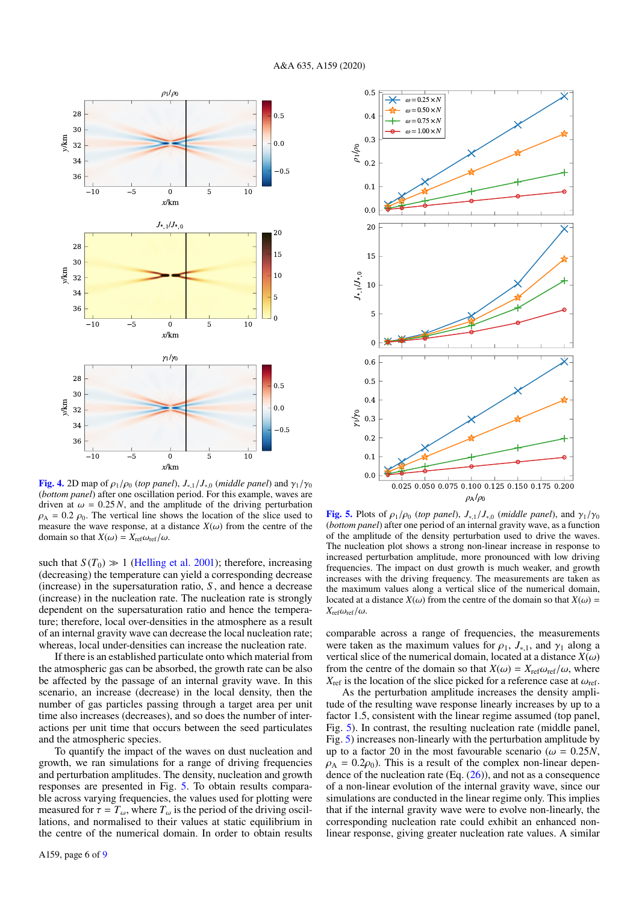

<span id="page-5-0"></span>**[Fig. 4.](http://dexter.edpsciences.org/applet.php?DOI=10.1051/0004-6361/201937063&pdf_id=0)** 2D map of  $\rho_1/\rho_0$  (*top panel*),  $J_{*,1}/J_{*,0}$  (*middle panel*) and  $\gamma_1/\gamma_0$ (*bottom panel*) after one oscillation period. For this example, waves are driven at  $\omega = 0.25 N$ , and the amplitude of the driving perturbation  $\rho_A = 0.2 \rho_0$ . The vertical line shows the location of the slice used to measure the wave response, at a distance  $X(\omega)$  from the centre of the domain so that  $X(\omega) = X_{ref}\omega_{ref}/\omega$ .

such that  $S(T_0) \gg 1$  [\(Helling et al.](#page-8-13) [2001\)](#page-8-13); therefore, increasing (decreasing) the temperature can yield a corresponding decrease (increase) in the supersaturation ratio, *S* , and hence a decrease (increase) in the nucleation rate. The nucleation rate is strongly dependent on the supersaturation ratio and hence the temperature; therefore, local over-densities in the atmosphere as a result of an internal gravity wave can decrease the local nucleation rate; whereas, local under-densities can increase the nucleation rate.

If there is an established particulate onto which material from the atmospheric gas can be absorbed, the growth rate can be also be affected by the passage of an internal gravity wave. In this scenario, an increase (decrease) in the local density, then the number of gas particles passing through a target area per unit time also increases (decreases), and so does the number of interactions per unit time that occurs between the seed particulates and the atmospheric species.

To quantify the impact of the waves on dust nucleation and growth, we ran simulations for a range of driving frequencies and perturbation amplitudes. The density, nucleation and growth responses are presented in Fig. [5.](#page-5-1) To obtain results comparable across varying frequencies, the values used for plotting were measured for  $\tau = T_{\omega}$ , where  $T_{\omega}$  is the period of the driving oscillations, and normalised to their values at static equilibrium in the centre of the numerical domain. In order to obtain results



<span id="page-5-1"></span>[Fig. 5.](http://dexter.edpsciences.org/applet.php?DOI=10.1051/0004-6361/201937063&pdf_id=0) Plots of  $\rho_1/\rho_0$  (*top panel*),  $J_{*,1}/J_{*,0}$  (*middle panel*), and  $\gamma_1/\gamma_0$ (*bottom panel*) after one period of an internal gravity wave, as a function of the amplitude of the density perturbation used to drive the waves. The nucleation plot shows a strong non-linear increase in response to increased perturbation amplitude, more pronounced with low driving frequencies. The impact on dust growth is much weaker, and growth increases with the driving frequency. The measurements are taken as the maximum values along a vertical slice of the numerical domain, located at a distance  $X(\omega)$  from the centre of the domain so that  $X(\omega)$  =  $X_{\text{ref}}\omega_{\text{ref}}/\omega$ .

comparable across a range of frequencies, the measurements were taken as the maximum values for  $\rho_1$ ,  $J_{*,1}$ , and  $\gamma_1$  along a vertical slice of the numerical domain, located at a distance  $X(\omega)$ from the centre of the domain so that  $X(\omega) = X_{ref} \omega_{ref} / \omega$ , where  $X_{\text{ref}}$  is the location of the slice picked for a reference case at  $\omega_{\text{ref}}$ .

As the perturbation amplitude increases the density amplitude of the resulting wave response linearly increases by up to a factor 1.5, consistent with the linear regime assumed (top panel, Fig. [5\)](#page-5-1). In contrast, the resulting nucleation rate (middle panel, Fig. [5\)](#page-5-1) increases non-linearly with the perturbation amplitude by up to a factor 20 in the most favourable scenario ( $\omega = 0.25N$ ,  $\rho_A = 0.2 \rho_0$ ). This is a result of the complex non-linear dependence of the nucleation rate  $(Eq. (26))$  $(Eq. (26))$  $(Eq. (26))$ , and not as a consequence of a non-linear evolution of the internal gravity wave, since our simulations are conducted in the linear regime only. This implies that if the internal gravity wave were to evolve non-linearly, the corresponding nucleation rate could exhibit an enhanced nonlinear response, giving greater nucleation rate values. A similar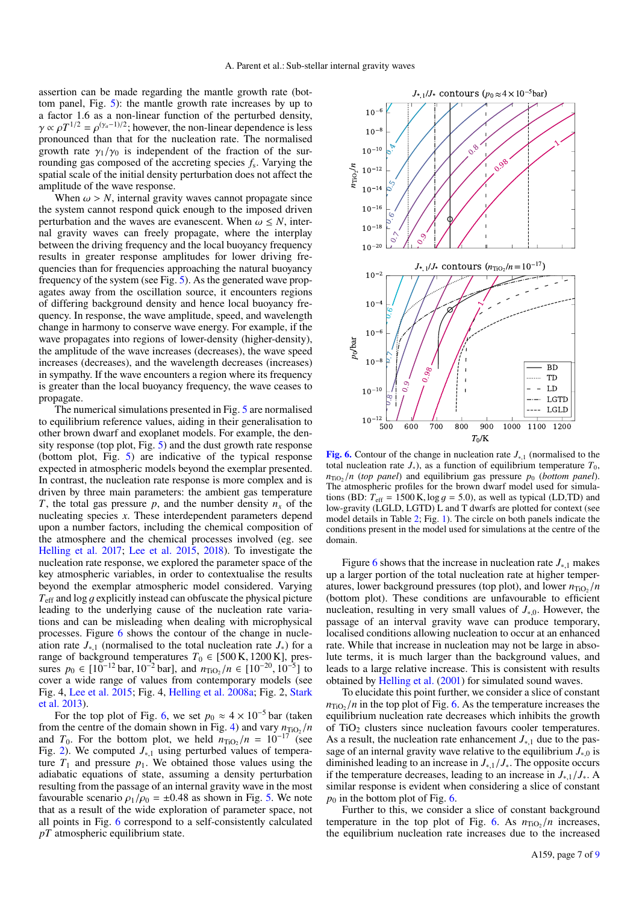assertion can be made regarding the mantle growth rate (bottom panel, Fig. [5\)](#page-5-1): the mantle growth rate increases by up to a factor 1.6 as a non-linear function of the perturbed density,  $\gamma \propto \rho T^{1/2} = \rho^{(\gamma_a - 1)/2}$ ; however, the non-linear dependence is less pronounced than that for the nucleation rate. The normalised growth rate  $\gamma_1/\gamma_0$  is independent of the fraction of the surrounding gas composed of the accreting species *f*<sup>s</sup> . Varying the spatial scale of the initial density perturbation does not affect the amplitude of the wave response.

When  $\omega > N$ , internal gravity waves cannot propagate since the system cannot respond quick enough to the imposed driven perturbation and the waves are evanescent. When  $\omega \leq N$ , internal gravity waves can freely propagate, where the interplay between the driving frequency and the local buoyancy frequency results in greater response amplitudes for lower driving frequencies than for frequencies approaching the natural buoyancy frequency of the system (see Fig. [5\)](#page-5-1). As the generated wave propagates away from the oscillation source, it encounters regions of differing background density and hence local buoyancy frequency. In response, the wave amplitude, speed, and wavelength change in harmony to conserve wave energy. For example, if the wave propagates into regions of lower-density (higher-density), the amplitude of the wave increases (decreases), the wave speed increases (decreases), and the wavelength decreases (increases) in sympathy. If the wave encounters a region where its frequency is greater than the local buoyancy frequency, the wave ceases to propagate.

The numerical simulations presented in Fig. [5](#page-5-1) are normalised to equilibrium reference values, aiding in their generalisation to other brown dwarf and exoplanet models. For example, the density response (top plot, Fig. [5\)](#page-5-1) and the dust growth rate response (bottom plot, Fig. [5\)](#page-5-1) are indicative of the typical response expected in atmospheric models beyond the exemplar presented. In contrast, the nucleation rate response is more complex and is driven by three main parameters: the ambient gas temperature *T*, the total gas pressure *p*, and the number density  $n<sub>x</sub>$  of the nucleating species *x*. These interdependent parameters depend upon a number factors, including the chemical composition of the atmosphere and the chemical processes involved (eg. see [Helling et al.](#page-8-33) [2017;](#page-8-33) [Lee et al.](#page-8-19) [2015,](#page-8-19) [2018\)](#page-8-34). To investigate the nucleation rate response, we explored the parameter space of the key atmospheric variables, in order to contextualise the results beyond the exemplar atmospheric model considered. Varying *T*eff and log g explicitly instead can obfuscate the physical picture leading to the underlying cause of the nucleation rate variations and can be misleading when dealing with microphysical processes. Figure [6](#page-6-0) shows the contour of the change in nucleation rate *J*∗,<sup>1</sup> (normalised to the total nucleation rate *J*∗) for a range of background temperatures  $T_0 \in [500 \text{ K}, 1200 \text{ K}]$ , pressures  $p_0 \in [10^{-12} \text{ bar}, 10^{-2} \text{ bar}]$ , and  $n_{\text{TiO}_2}/n \in [10^{-20}, 10^{-5}]$  to cover a wide range of values from contemporary models (see Fig. 4, [Lee et al.](#page-8-19) [2015;](#page-8-19) Fig. 4, [Helling et al.](#page-8-35) [2008a;](#page-8-35) Fig. 2, [Stark](#page-8-24) [et al.](#page-8-24) [2013\)](#page-8-24).

For the top plot of Fig. [6,](#page-6-0) we set  $p_0 \approx 4 \times 10^{-5}$  bar (taken from the centre of the domain shown in Fig. [4\)](#page-5-0) and vary  $n_{\text{TiO}_2}/n$ and  $T_0$ . For the bottom plot, we held  $n_{\text{TiO}_2}/n = 10^{-17}$  (see Fig. [2\)](#page-4-2). We computed *J*∗,<sup>1</sup> using perturbed values of temperature  $T_1$  and pressure  $p_1$ . We obtained those values using the adiabatic equations of state, assuming a density perturbation resulting from the passage of an internal gravity wave in the most favourable scenario  $\rho_1/\rho_0 = \pm 0.48$  as shown in Fig. [5.](#page-5-1) We note that as a result of the wide exploration of parameter space, not all points in Fig. [6](#page-6-0) correspond to a self-consistently calculated *pT* atmospheric equilibrium state.



<span id="page-6-0"></span>[Fig. 6.](http://dexter.edpsciences.org/applet.php?DOI=10.1051/0004-6361/201937063&pdf_id=0) Contour of the change in nucleation rate *J*∗,<sup>1</sup> (normalised to the total nucleation rate  $J_*$ ), as a function of equilibrium temperature  $T_0$ ,  $n_{\text{TiO}_2}/n$  (*top panel*) and equilibrium gas pressure  $p_0$  (*bottom panel*). The atmospheric profiles for the brown dwarf model used for simulations (BD:  $T_{\text{eff}} = 1500 \text{ K}$ ,  $\log g = 5.0$ ), as well as typical (LD,TD) and low-gravity (LGLD, LGTD) L and T dwarfs are plotted for context (see model details in Table [2;](#page-3-6) Fig. [1\)](#page-4-0). The circle on both panels indicate the conditions present in the model used for simulations at the centre of the domain.

Figure [6](#page-6-0) shows that the increase in nucleation rate *J*∗,<sup>1</sup> makes up a larger portion of the total nucleation rate at higher temperatures, lower background pressures (top plot), and lower  $n_{\text{TiO}_2}/n$ (bottom plot). These conditions are unfavourable to efficient nucleation, resulting in very small values of *J*∗,0. However, the passage of an interval gravity wave can produce temporary, localised conditions allowing nucleation to occur at an enhanced rate. While that increase in nucleation may not be large in absolute terms, it is much larger than the background values, and leads to a large relative increase. This is consistent with results obtained by [Helling et al.](#page-8-13) [\(2001\)](#page-8-13) for simulated sound waves.

To elucidate this point further, we consider a slice of constant  $n_{\text{TiO}_2}/n$  in the top plot of Fig. [6.](#page-6-0) As the temperature increases the equilibrium nucleation rate decreases which inhibits the growth of TiO<sub>2</sub> clusters since nucleation favours cooler temperatures. As a result, the nucleation rate enhancement *J*∗,<sup>1</sup> due to the passage of an internal gravity wave relative to the equilibrium *J*∗,<sup>0</sup> is diminished leading to an increase in *J*∗,1/*J*∗. The opposite occurs if the temperature decreases, leading to an increase in  $J_{*1}/J_{*}$ . A similar response is evident when considering a slice of constant  $p_0$  in the bottom plot of Fig. [6.](#page-6-0)

Further to this, we consider a slice of constant background temperature in the top plot of Fig. [6.](#page-6-0) As  $n_{\text{TiO}_2}/n$  increases, the equilibrium nucleation rate increases due to the increased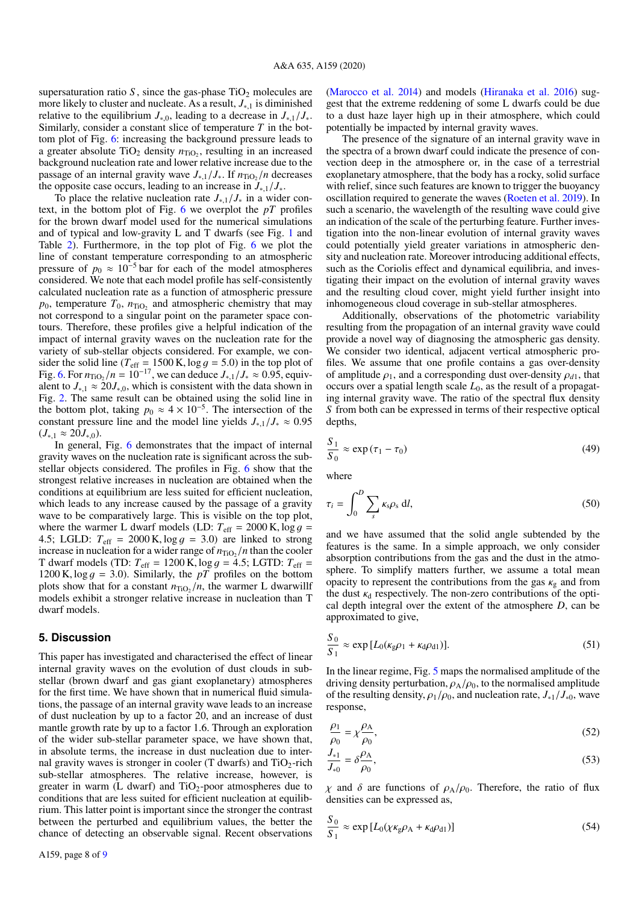supersaturation ratio  $S$ , since the gas-phase  $TiO<sub>2</sub>$  molecules are more likely to cluster and nucleate. As a result, *J*∗,<sup>1</sup> is diminished relative to the equilibrium  $J_{\ast,0}$ , leading to a decrease in  $J_{\ast,1}/J_{\ast}$ . Similarly, consider a constant slice of temperature *T* in the bottom plot of Fig. [6:](#page-6-0) increasing the background pressure leads to a greater absolute  $TiO<sub>2</sub>$  density  $n_{TiO<sub>2</sub>}$ , resulting in an increased background nucleation rate and lower relative increase due to the passage of an internal gravity wave  $J_{*,1}/J_*$ . If  $n_{\text{TiO}_2}/n$  decreases the opposite case occurs, leading to an increase in  $J_{*1}/J_{*}$ .

To place the relative nucleation rate *J*∗,1/*J*<sup>∗</sup> in a wider context, in the bottom plot of Fig. [6](#page-6-0) we overplot the *pT* profiles for the brown dwarf model used for the numerical simulations and of typical and low-gravity L and T dwarfs (see Fig. [1](#page-4-0) and Table [2\)](#page-3-6). Furthermore, in the top plot of Fig. [6](#page-6-0) we plot the line of constant temperature corresponding to an atmospheric pressure of  $p_0 \approx 10^{-5}$  bar for each of the model atmospheres considered. We note that each model profile has self-consistently calculated nucleation rate as a function of atmospheric pressure  $p_0$ , temperature  $T_0$ ,  $n_{TiO_2}$  and atmospheric chemistry that may not correspond to a singular point on the parameter space contours. Therefore, these profiles give a helpful indication of the impact of internal gravity waves on the nucleation rate for the variety of sub-stellar objects considered. For example, we consider the solid line ( $T_{\text{eff}}$  = 1500 K, log  $q = 5.0$ ) in the top plot of Fig. [6.](#page-6-0) For  $n_{\text{TiO}_2}/n = 10^{-17}$ , we can deduce  $J_{*,1}/J_* \approx 0.95$ , equivalent to  $J_{*,1} \approx 20 J_{*,0}$ , which is consistent with the data shown in Fig. [2.](#page-4-2) The same result can be obtained using the solid line in the bottom plot, taking  $p_0 \approx 4 \times 10^{-5}$ . The intersection of the constant pressure line and the model line yields  $J_{*1}/J_{*} \approx 0.95$  $(J_{*,1}$  ≈ 20 $J_{*,0}$ ).

In general, Fig. [6](#page-6-0) demonstrates that the impact of internal gravity waves on the nucleation rate is significant across the substellar objects considered. The profiles in Fig. [6](#page-6-0) show that the strongest relative increases in nucleation are obtained when the conditions at equilibrium are less suited for efficient nucleation, which leads to any increase caused by the passage of a gravity wave to be comparatively large. This is visible on the top plot, where the warmer L dwarf models (LD:  $T_{\text{eff}} = 2000 \text{ K}$ ,  $\log g$  = 4.5; LGLD:  $T_{\text{eff}} = 2000 \text{ K}$ ,  $\log g = 3.0$ ) are linked to strong increase in nucleation for a wider range of  $n_{\text{TiO}_2}/n$  than the cooler T dwarf models (TD:  $T_{\text{eff}} = 1200 \text{ K}$ ,  $\log g = 4.5$ ; LGTD:  $T_{\text{eff}} =$ 1200 K,  $\log q = 3.0$ ). Similarly, the *pT* profiles on the bottom plots show that for a constant  $n_{\text{TiO}_2}/n$ , the warmer L dwarwillf models exhibit a stronger relative increase in nucleation than T dwarf models.

### <span id="page-7-0"></span>**5. Discussion**

This paper has investigated and characterised the effect of linear internal gravity waves on the evolution of dust clouds in substellar (brown dwarf and gas giant exoplanetary) atmospheres for the first time. We have shown that in numerical fluid simulations, the passage of an internal gravity wave leads to an increase of dust nucleation by up to a factor 20, and an increase of dust mantle growth rate by up to a factor 1.6. Through an exploration of the wider sub-stellar parameter space, we have shown that, in absolute terms, the increase in dust nucleation due to internal gravity waves is stronger in cooler (T dwarfs) and  $TiO<sub>2</sub>$ -rich sub-stellar atmospheres. The relative increase, however, is greater in warm (L dwarf) and  $TiO<sub>2</sub>$ -poor atmospheres due to conditions that are less suited for efficient nucleation at equilibrium. This latter point is important since the stronger the contrast between the perturbed and equilibrium values, the better the chance of detecting an observable signal. Recent observations [\(Marocco et al.](#page-8-36) [2014\)](#page-8-36) and models [\(Hiranaka et al.](#page-8-37) [2016\)](#page-8-37) suggest that the extreme reddening of some L dwarfs could be due to a dust haze layer high up in their atmosphere, which could potentially be impacted by internal gravity waves.

The presence of the signature of an internal gravity wave in the spectra of a brown dwarf could indicate the presence of convection deep in the atmosphere or, in the case of a terrestrial exoplanetary atmosphere, that the body has a rocky, solid surface with relief, since such features are known to trigger the buoyancy oscillation required to generate the waves [\(Roeten et al.](#page-8-15) [2019\)](#page-8-15). In such a scenario, the wavelength of the resulting wave could give an indication of the scale of the perturbing feature. Further investigation into the non-linear evolution of internal gravity waves could potentially yield greater variations in atmospheric density and nucleation rate. Moreover introducing additional effects, such as the Coriolis effect and dynamical equilibria, and investigating their impact on the evolution of internal gravity waves and the resulting cloud cover, might yield further insight into inhomogeneous cloud coverage in sub-stellar atmospheres.

Additionally, observations of the photometric variability resulting from the propagation of an internal gravity wave could provide a novel way of diagnosing the atmospheric gas density. We consider two identical, adjacent vertical atmospheric profiles. We assume that one profile contains a gas over-density of amplitude  $\rho_1$ , and a corresponding dust over-density  $\rho_{d1}$ , that occurs over a spatial length scale  $L_0$ , as the result of a propagating internal gravity wave. The ratio of the spectral flux density *S* from both can be expressed in terms of their respective optical depths,

$$
\frac{S_1}{S_0} \approx \exp\left(\tau_1 - \tau_0\right) \tag{49}
$$

where

$$
\tau_i = \int_0^D \sum_s \kappa_s \rho_s \, \mathrm{d}l,\tag{50}
$$

and we have assumed that the solid angle subtended by the features is the same. In a simple approach, we only consider absorption contributions from the gas and the dust in the atmosphere. To simplify matters further, we assume a total mean opacity to represent the contributions from the gas  $\kappa_{\varrho}$  and from the dust  $\kappa_d$  respectively. The non-zero contributions of the optical depth integral over the extent of the atmosphere *D*, can be approximated to give,

$$
\frac{S_0}{S_1} \approx \exp\left[L_0(\kappa_{\rm g}\rho_1 + \kappa_{\rm d}\rho_{\rm d1})\right].\tag{51}
$$

In the linear regime, Fig. [5](#page-5-1) maps the normalised amplitude of the driving density perturbation,  $\rho_A/\rho_0$ , to the normalised amplitude of the resulting density,  $\rho_1/\rho_0$ , and nucleation rate,  $J_{*1}/J_{*0}$ , wave response,

$$
\frac{\rho_1}{\rho_0} = \chi \frac{\rho_A}{\rho_0},\tag{52}
$$

$$
\frac{J_{*1}}{J_{*0}} = \delta \frac{\rho_A}{\rho_0},\tag{53}
$$

<span id="page-7-1"></span> $\chi$  and  $\delta$  are functions of  $\rho_A/\rho_0$ . Therefore, the ratio of flux densities can be expressed as,

$$
\frac{S_0}{S_1} \approx \exp\left[L_0(\chi \kappa_{\rm g} \rho_{\rm A} + \kappa_{\rm d} \rho_{\rm d1})\right]
$$
 (54)